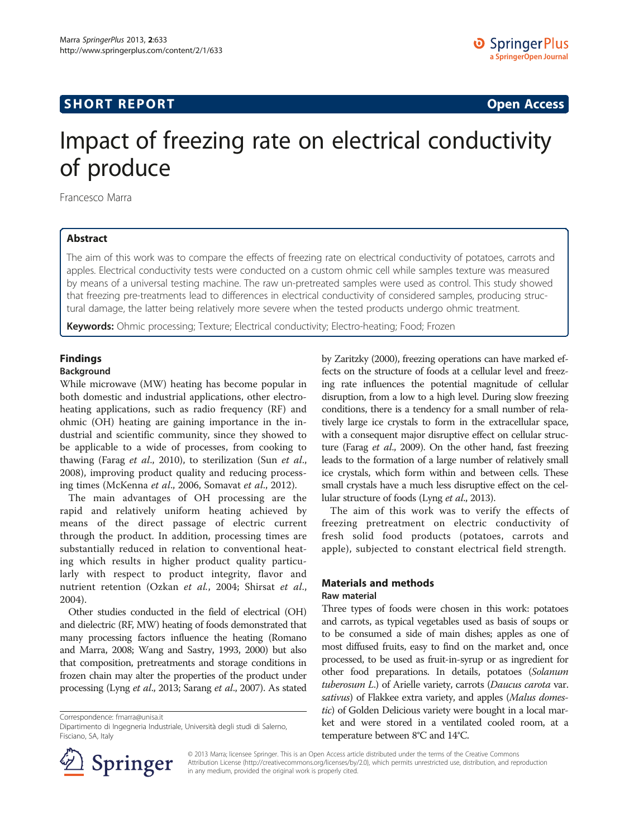## **SHORT REPORT SHORT CONSUMING THE CONSUMING THE CONSUMING THE CONSUMING THE CONSUMING THE CONSUMING THE CONSUMING THE CONSUMING THE CONSUMING THE CONSUMING THE CONSUMING THE CONSUMING THE CONSUMING THE CONSUMING THE CO**

# Impact of freezing rate on electrical conductivity of produce

Francesco Marra

## Abstract

The aim of this work was to compare the effects of freezing rate on electrical conductivity of potatoes, carrots and apples. Electrical conductivity tests were conducted on a custom ohmic cell while samples texture was measured by means of a universal testing machine. The raw un-pretreated samples were used as control. This study showed that freezing pre-treatments lead to differences in electrical conductivity of considered samples, producing structural damage, the latter being relatively more severe when the tested products undergo ohmic treatment.

Keywords: Ohmic processing; Texture; Electrical conductivity; Electro-heating; Food; Frozen

## Findings

#### Background

While microwave (MW) heating has become popular in both domestic and industrial applications, other electroheating applications, such as radio frequency (RF) and ohmic (OH) heating are gaining importance in the industrial and scientific community, since they showed to be applicable to a wide of processes, from cooking to thawing (Farag *et al.*, [2010](#page-4-0)), to sterilization (Sun *et al.*, [2008](#page-4-0)), improving product quality and reducing processing times (McKenna et al., [2006](#page-4-0), Somavat et al., [2012](#page-4-0)).

The main advantages of OH processing are the rapid and relatively uniform heating achieved by means of the direct passage of electric current through the product. In addition, processing times are substantially reduced in relation to conventional heating which results in higher product quality particularly with respect to product integrity, flavor and nutrient retention (Ozkan et al., [2004;](#page-4-0) Shirsat et al., [2004\)](#page-4-0).

Other studies conducted in the field of electrical (OH) and dielectric (RF, MW) heating of foods demonstrated that many processing factors influence the heating (Romano and Marra, [2008;](#page-4-0) Wang and Sastry, [1993, 2000\)](#page-4-0) but also that composition, pretreatments and storage conditions in frozen chain may alter the properties of the product under processing (Lyng et al.[, 2013;](#page-4-0) Sarang et al., [2007](#page-4-0)). As stated

Correspondence: [fmarra@unisa.it](mailto:fmarra@unisa.it)



The aim of this work was to verify the effects of freezing pretreatment on electric conductivity of fresh solid food products (potatoes, carrots and apple), subjected to constant electrical field strength.

#### Materials and methods Raw material

Three types of foods were chosen in this work: potatoes and carrots, as typical vegetables used as basis of soups or to be consumed a side of main dishes; apples as one of most diffused fruits, easy to find on the market and, once processed, to be used as fruit-in-syrup or as ingredient for other food preparations. In details, potatoes (Solanum tuberosum L.) of Arielle variety, carrots (Daucus carota var. sativus) of Flakkee extra variety, and apples (Malus domestic) of Golden Delicious variety were bought in a local market and were stored in a ventilated cooled room, at a temperature between 8°C and 14°C.



© 2013 Marra; licensee Springer. This is an Open Access article distributed under the terms of the Creative Commons Attribution License [\(http://creativecommons.org/licenses/by/2.0\)](http://creativecommons.org/licenses/by/2.0), which permits unrestricted use, distribution, and reproduction in any medium, provided the original work is properly cited.

Dipartimento di Ingegneria Industriale, Università degli studi di Salerno, Fisciano, SA, Italy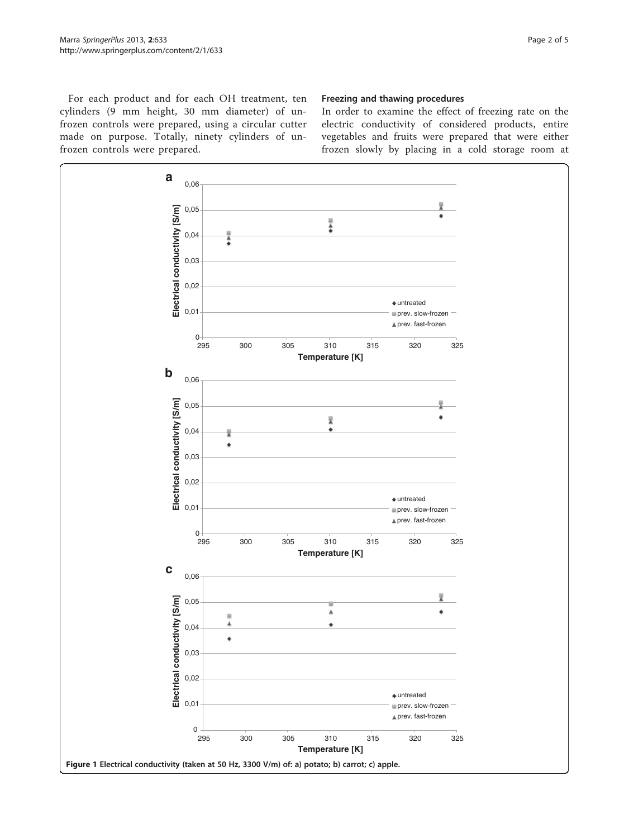<span id="page-1-0"></span>For each product and for each OH treatment, ten cylinders (9 mm height, 30 mm diameter) of unfrozen controls were prepared, using a circular cutter made on purpose. Totally, ninety cylinders of unfrozen controls were prepared.

## Freezing and thawing procedures

In order to examine the effect of freezing rate on the electric conductivity of considered products, entire vegetables and fruits were prepared that were either frozen slowly by placing in a cold storage room at

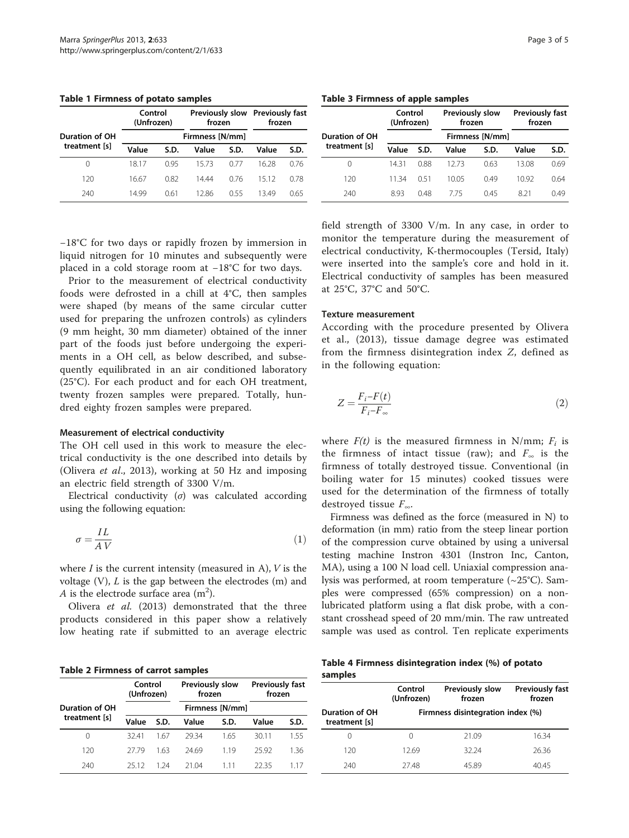<span id="page-2-0"></span>Table 1 Firmness of potato samples

|                | Control<br>(Unfrozen)<br>frozen |      |       |      | Previously slow Previously fast<br>frozen |      |
|----------------|---------------------------------|------|-------|------|-------------------------------------------|------|
| Duration of OH | Firmness [N/mm]                 |      |       |      |                                           |      |
| treatment [s]  | Value                           | S.D. | Value | S.D. | Value                                     | S.D. |
| 0              | 1817                            | O 95 | 1573  | 0.77 | 16.28                                     | 0.76 |
| 120            | 16.67                           | 0.82 | 1444  | 0.76 | 1512                                      | 0.78 |
| 240            | 14 99                           | 0.61 | 12.86 | 055  | 1349                                      | 0.65 |

Table 3 Firmness of apple samples

|                       | Control<br>(Unfrozen) |      | Previously slow<br>frozen |      | <b>Previously fast</b><br>frozen |      |
|-----------------------|-----------------------|------|---------------------------|------|----------------------------------|------|
| <b>Duration of OH</b> | Firmness [N/mm]       |      |                           |      |                                  |      |
| treatment [s]         | Value                 | S.D. | Value                     | S.D. | Value                            | S.D. |
| 0                     | 1431                  | 0.88 | 12.73                     | 0.63 | 13.08                            | 0.69 |
| 120                   | 1134                  | 051  | 1005                      | 0.49 | 10.92                            | 0.64 |
| 240                   | 893                   | 048  | 775                       | 045  | 821                              | 0.49 |

−18°C for two days or rapidly frozen by immersion in liquid nitrogen for 10 minutes and subsequently were placed in a cold storage room at −18°C for two days.

Prior to the measurement of electrical conductivity foods were defrosted in a chill at 4°C, then samples were shaped (by means of the same circular cutter used for preparing the unfrozen controls) as cylinders (9 mm height, 30 mm diameter) obtained of the inner part of the foods just before undergoing the experiments in a OH cell, as below described, and subsequently equilibrated in an air conditioned laboratory (25°C). For each product and for each OH treatment, twenty frozen samples were prepared. Totally, hundred eighty frozen samples were prepared.

### Measurement of electrical conductivity

The OH cell used in this work to measure the electrical conductivity is the one described into details by (Olivera et al., [2013\)](#page-4-0), working at 50 Hz and imposing an electric field strength of 3300 V/m.

Electrical conductivity  $(\sigma)$  was calculated according using the following equation:

$$
\sigma = \frac{IL}{AV}
$$
 (1)

where  $I$  is the current intensity (measured in A),  $V$  is the voltage  $(V)$ ,  $L$  is the gap between the electrodes  $(m)$  and A is the electrode surface area  $(m^2)$ .

Olivera et al. ([2013\)](#page-4-0) demonstrated that the three products considered in this paper show a relatively low heating rate if submitted to an average electric

Table 2 Firmness of carrot samples

|                | Control<br>(Unfrozen) |                 | Previously slow<br>frozen |       | <b>Previously fast</b><br>frozen |      |
|----------------|-----------------------|-----------------|---------------------------|-------|----------------------------------|------|
| Duration of OH |                       | Firmness [N/mm] |                           |       |                                  |      |
| treatment [s]  | Value                 | S.D.            | Value                     | S.D.  | Value                            | S.D. |
| 0              | 3241                  | 167             | 2934                      | 1.65  | 30.11                            | 1.55 |
| 120            | 27.79                 | 163             | 24.69                     | 119   | 25.92                            | 1.36 |
| 240            | 25.12                 | 1 24            | 21.04                     | 1 1 1 | 22.35                            | 11/  |

field strength of 3300 V/m. In any case, in order to monitor the temperature during the measurement of electrical conductivity, K-thermocouples (Tersid, Italy) were inserted into the sample's core and hold in it. Electrical conductivity of samples has been measured at 25°C, 37°C and 50°C.

#### Texture measurement

According with the procedure presented by Olivera et al., [\(2013\)](#page-4-0), tissue damage degree was estimated from the firmness disintegration index Z, defined as in the following equation:

$$
Z = \frac{F_i - F(t)}{F_i - F_\infty} \tag{2}
$$

where  $F(t)$  is the measured firmness in N/mm;  $F_i$  is the firmness of intact tissue (raw); and  $F_{\infty}$  is the firmness of totally destroyed tissue. Conventional (in boiling water for 15 minutes) cooked tissues were used for the determination of the firmness of totally destroyed tissue  $F_{\infty}$ .

Firmness was defined as the force (measured in N) to deformation (in mm) ratio from the steep linear portion of the compression curve obtained by using a universal testing machine Instron 4301 (Instron Inc, Canton, MA), using a 100 N load cell. Uniaxial compression analysis was performed, at room temperature (~25°C). Samples were compressed (65% compression) on a nonlubricated platform using a flat disk probe, with a constant crosshead speed of 20 mm/min. The raw untreated sample was used as control. Ten replicate experiments

Table 4 Firmness disintegration index (%) of potato samples

|                                        | Control<br>(Unfrozen) | Previously slow<br>frozen         | <b>Previously fast</b><br>frozen |
|----------------------------------------|-----------------------|-----------------------------------|----------------------------------|
| <b>Duration of OH</b><br>treatment [s] |                       | Firmness disintegration index (%) |                                  |
| $\left( \right)$                       | $\left($              | 21.09                             | 16.34                            |
| 120                                    | 12.69                 | 32.24                             | 26.36                            |
| 240                                    | 2748                  | 45.89                             | 40.45                            |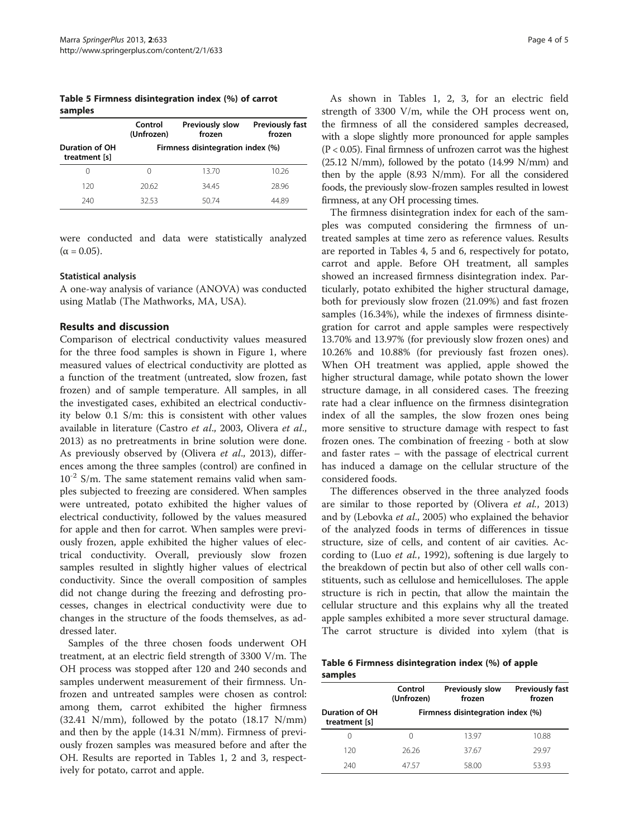Table 5 Firmness disintegration index (%) of carrot samples

|                                 | Control<br>(Unfrozen) | <b>Previously slow</b><br>frozen  | <b>Previously fast</b><br>frozen |  |
|---------------------------------|-----------------------|-----------------------------------|----------------------------------|--|
| Duration of OH<br>treatment [s] |                       | Firmness disintegration index (%) |                                  |  |
| 0                               | $\left( \right)$      | 13.70                             | 10.26                            |  |
| 120                             | 20.62                 | 34.45                             | 28.96                            |  |
| 240                             | 32.53                 | 50.74                             | 44.89                            |  |

were conducted and data were statistically analyzed  $(α = 0.05)$ .

#### Statistical analysis

A one-way analysis of variance (ANOVA) was conducted using Matlab (The Mathworks, MA, USA).

#### Results and discussion

Comparison of electrical conductivity values measured for the three food samples is shown in Figure [1,](#page-1-0) where measured values of electrical conductivity are plotted as a function of the treatment (untreated, slow frozen, fast frozen) and of sample temperature. All samples, in all the investigated cases, exhibited an electrical conductivity below 0.1 S/m: this is consistent with other values available in literature (Castro et al., [2003](#page-4-0), Olivera et al., [2013](#page-4-0)) as no pretreatments in brine solution were done. As previously observed by (Olivera et al., [2013](#page-4-0)), differences among the three samples (control) are confined in  $10^{-2}$  S/m. The same statement remains valid when samples subjected to freezing are considered. When samples were untreated, potato exhibited the higher values of electrical conductivity, followed by the values measured for apple and then for carrot. When samples were previously frozen, apple exhibited the higher values of electrical conductivity. Overall, previously slow frozen samples resulted in slightly higher values of electrical conductivity. Since the overall composition of samples did not change during the freezing and defrosting processes, changes in electrical conductivity were due to changes in the structure of the foods themselves, as addressed later.

Samples of the three chosen foods underwent OH treatment, at an electric field strength of 3300 V/m. The OH process was stopped after 120 and 240 seconds and samples underwent measurement of their firmness. Unfrozen and untreated samples were chosen as control: among them, carrot exhibited the higher firmness (32.41 N/mm), followed by the potato (18.17 N/mm) and then by the apple (14.31 N/mm). Firmness of previously frozen samples was measured before and after the OH. Results are reported in Tables [1](#page-2-0), [2](#page-2-0) and [3,](#page-2-0) respectively for potato, carrot and apple.

As shown in Tables [1, 2](#page-2-0), [3,](#page-2-0) for an electric field strength of 3300 V/m, while the OH process went on, the firmness of all the considered samples decreased, with a slope slightly more pronounced for apple samples  $(P < 0.05)$ . Final firmness of unfrozen carrot was the highest (25.12 N/mm), followed by the potato (14.99 N/mm) and then by the apple (8.93 N/mm). For all the considered foods, the previously slow-frozen samples resulted in lowest firmness, at any OH processing times.

The firmness disintegration index for each of the samples was computed considering the firmness of untreated samples at time zero as reference values. Results are reported in Tables [4](#page-2-0), 5 and 6, respectively for potato, carrot and apple. Before OH treatment, all samples showed an increased firmness disintegration index. Particularly, potato exhibited the higher structural damage, both for previously slow frozen (21.09%) and fast frozen samples (16.34%), while the indexes of firmness disintegration for carrot and apple samples were respectively 13.70% and 13.97% (for previously slow frozen ones) and 10.26% and 10.88% (for previously fast frozen ones). When OH treatment was applied, apple showed the higher structural damage, while potato shown the lower structure damage, in all considered cases. The freezing rate had a clear influence on the firmness disintegration index of all the samples, the slow frozen ones being more sensitive to structure damage with respect to fast frozen ones. The combination of freezing - both at slow and faster rates – with the passage of electrical current has induced a damage on the cellular structure of the considered foods.

The differences observed in the three analyzed foods are similar to those reported by (Olivera et al., [2013](#page-4-0)) and by (Lebovka et al., [2005\)](#page-4-0) who explained the behavior of the analyzed foods in terms of differences in tissue structure, size of cells, and content of air cavities. According to (Luo et al., [1992](#page-4-0)), softening is due largely to the breakdown of pectin but also of other cell walls constituents, such as cellulose and hemicelluloses. The apple structure is rich in pectin, that allow the maintain the cellular structure and this explains why all the treated apple samples exhibited a more sever structural damage. The carrot structure is divided into xylem (that is

Table 6 Firmness disintegration index (%) of apple samples

|                                 | Control<br>(Unfrozen) | Previously slow<br><b>Previously fast</b><br>frozen |       |
|---------------------------------|-----------------------|-----------------------------------------------------|-------|
| Duration of OH<br>treatment [s] |                       | Firmness disintegration index (%)                   |       |
| $\cup$                          | $\left( \right)$      | 13.97                                               | 10.88 |
| 120                             | 26.26                 | 37.67                                               | 29.97 |
| 240                             | 47.57                 | 58.00                                               | 5393  |